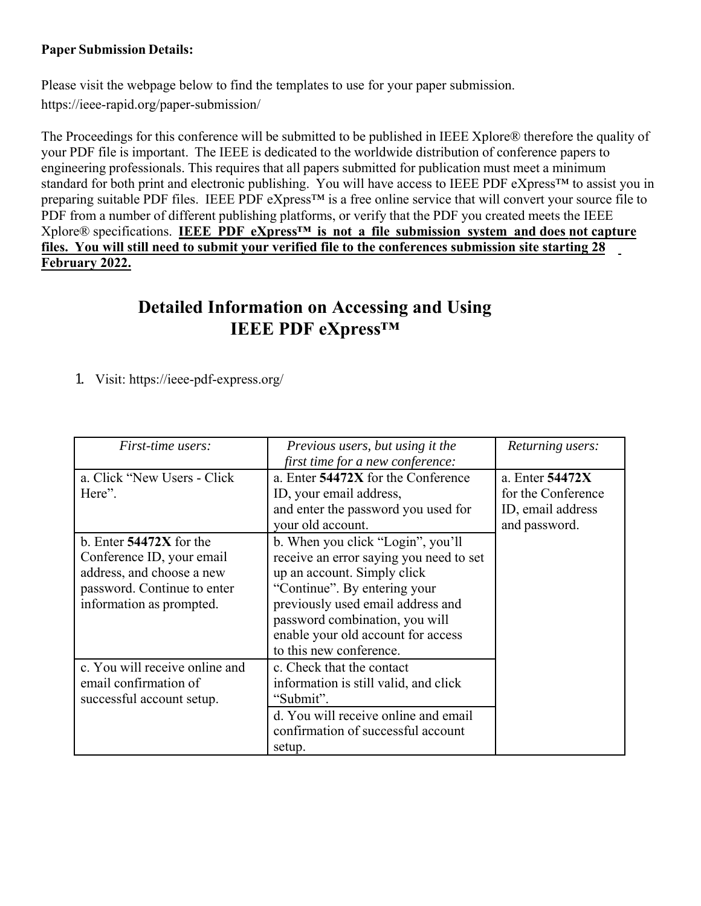## **Paper Submission Details:**

Please visit the webpage below to find the templates to use for your paper submission. <https://ieee-rapid.org/paper-submission/>

The Proceedings for this conference will be submitted to be published in IEEE Xplore® therefore the quality of your PDF file is important. The IEEE is dedicated to the worldwide distribution of conference papers to engineering professionals. This requires that all papers submitted for publication must meet a minimum standard for both print and electronic publishing. You will have access to IEEE PDF eXpress™ to assist you in preparing suitable PDF files. IEEE PDF eXpress<sup>™</sup> is a free online service that will convert your source file to PDF from a number of different publishing platforms, or verify that the PDF you created meets the IEEE Xplore® specifications. **IEEE PDF eXpress™ is not a file submission system and does not capture files. You will still need to submit your verified file to the conferences submission site starting 28 February 2022.**

## **Detailed Information on Accessing and Using IEEE PDF eXpress™**

1. Visit: <https://ieee-pdf-express.org/>

| <i>First-time users:</i>                                                                                                                       | Previous users, but using it the<br>first time for a new conference:                                                                                                                                                                                                                | Returning users:                                                            |
|------------------------------------------------------------------------------------------------------------------------------------------------|-------------------------------------------------------------------------------------------------------------------------------------------------------------------------------------------------------------------------------------------------------------------------------------|-----------------------------------------------------------------------------|
| a. Click "New Users - Click"<br>Here".                                                                                                         | a. Enter 54472X for the Conference<br>ID, your email address,<br>and enter the password you used for<br>your old account.                                                                                                                                                           | a. Enter 54472X<br>for the Conference<br>ID, email address<br>and password. |
| b. Enter $54472X$ for the<br>Conference ID, your email<br>address, and choose a new<br>password. Continue to enter<br>information as prompted. | b. When you click "Login", you'll<br>receive an error saying you need to set<br>up an account. Simply click<br>"Continue". By entering your<br>previously used email address and<br>password combination, you will<br>enable your old account for access<br>to this new conference. |                                                                             |
| c. You will receive online and<br>email confirmation of<br>successful account setup.                                                           | c. Check that the contact<br>information is still valid, and click<br>"Submit".<br>d. You will receive online and email<br>confirmation of successful account<br>setup.                                                                                                             |                                                                             |